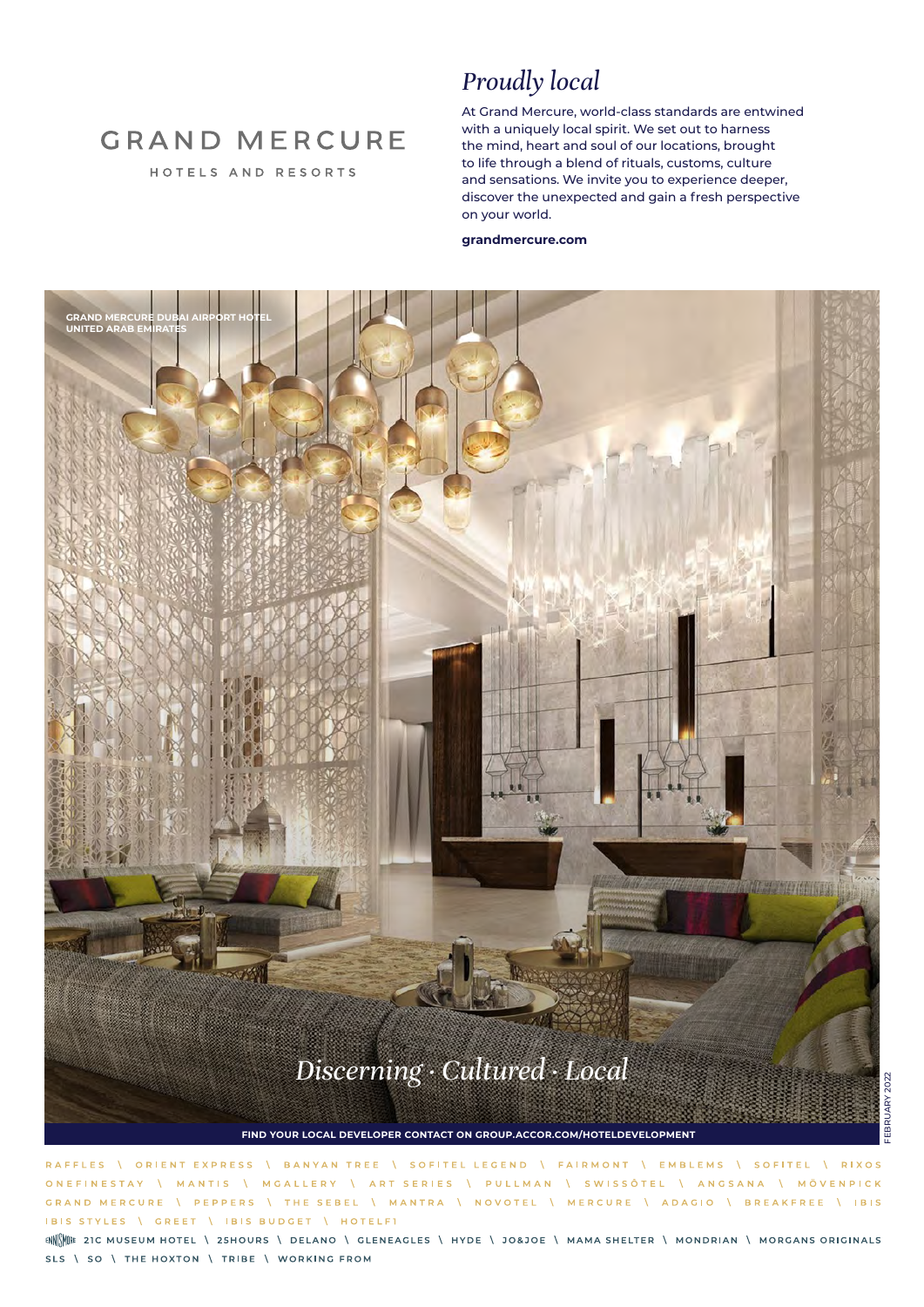## **GRAND MERCURE**

HOTELS AND RESORTS

### *Proudly local*

At Grand Mercure, world-class standards are entwined with a uniquely local spirit. We set out to harness the mind, heart and soul of our locations, brought to life through a blend of rituals, customs, culture and sensations. We invite you to experience deeper, discover the unexpected and gain a fresh perspective on your world.

#### **grandmercure.com**



ORIENT EXPRESS BANYAN TREE \ SOFITEL LEGEND \ FAIRMONT \ EMBLEMS \ SOFITEL **I** RIXOS **RAFFIES ONFFINESTAY** \ ART SERIES \ PULLMAN \ SWISSÔTEL \ ANGSANA \ MÖVENPICK MGALLERY MANTIS  $\Lambda$ GRAND MERCURE **PEPPERS** THE SEBEL \ MANTRA \ NOVOTEL \ MERCURE \ ADAGIO \ BREAKFREE \ IBIS  $\Lambda$ IBIS STYLES \ GREET | IBIS BUDGET | HOTELFI

ENNE ENCORRER TO THE MUSEUM HOTEL \ 25HOURS \ DELANO \ GLENEAGLES \ HYDE \ JO&JOE \ MAMA SHELTER \ MONDRIAN \ MORGANS ORIGINALS SLS \ SO \ THE HOXTON \ TRIBE \ WORKING FROM